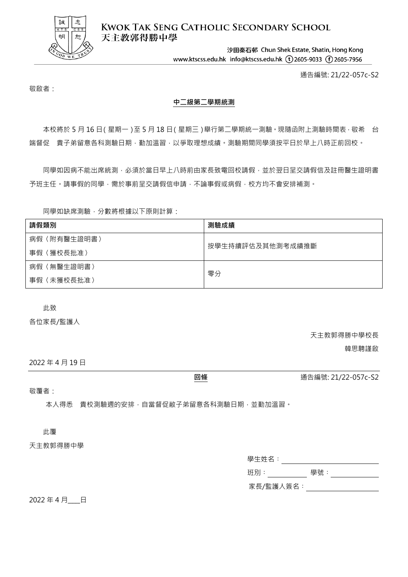

**KWOK TAK SENG CATHOLIC SECONDARY SCHOOL** 天主教郭得勝中學

> 沙田秦石邨 Chun Shek Estate, Shatin, Hong Kong www.ktscss.edu.hk info@ktscss.edu.hk (t)2605-9033 (f)2605-7956

> > 通告編號: 21/22-057c-S2

敬啟者:

## **中二級第二學期統測**

本校將於 5 月 16 日(星期一)至 5 月 18 日(星期三)舉行第二學期統一測驗,現隨函附上測驗時間表, 敬希 台 端督促 貴子弟留意各科測驗日期,勤加溫習,以爭取理想成績。測驗期間同學須按平日於早上八時正前回校。

同學如因病不能出席統測,必須於當日早上八時前由家長致電回校請假,並於翌日呈交請假信及註冊醫生證明書 予班主任。請事假的同學,需於事前呈交請假信申請,不論事假或病假,校方均不會安排補測。

同學如缺席測驗,分數將根據以下原則計算:

| 請假類別            | 測驗成績             |  |
|-----------------|------------------|--|
| 病假〈附有醫生證明書〉     | 按學生持續評估及其他測考成績推斷 |  |
| 事假〈獲校長批准〉       |                  |  |
| 〈無醫生證明書〉<br>病假〈 | 零分               |  |
| 〈未獲校長批准〉<br>事假〈 |                  |  |

此致

各位家長/監護人

天主教郭得勝中學校長

韓思騁謹啟

2022 年 4 月 19 日

敬覆者:

本人得悉 貴校測驗週的安排,自當督促敝子弟留意各科測驗日期,並勤加溫習。

此覆

天主教郭得勝中學

學生姓名︰

班別:\_\_\_\_\_\_\_\_\_\_\_\_ 學號:\_\_\_\_\_\_\_\_\_\_\_\_\_

家長/監護人簽名:\_\_\_\_\_\_\_\_\_\_\_\_\_\_\_\_\_\_

2022年4月 日

**回條** 通告編號: 21/22-057c-S2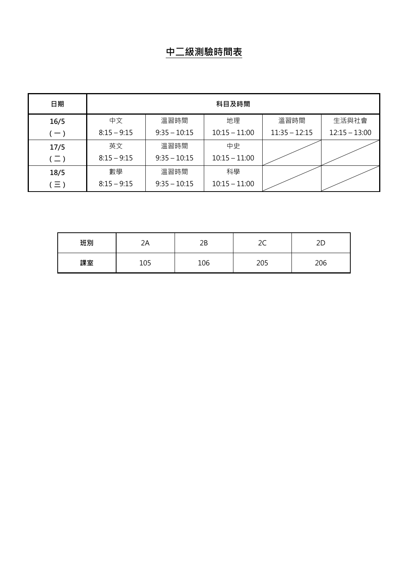## **中二級測驗時間表**

| 日期            | 科目及時間         |                |                 |                 |                 |
|---------------|---------------|----------------|-----------------|-----------------|-----------------|
| 16/5          | 中文            | 溫習時間           | 地理              | 溫習時間            | 生活與社會           |
| $(-)$         | $8:15 - 9:15$ | $9:35 - 10:15$ | $10:15 - 11:00$ | $11:35 - 12:15$ | $12:15 - 13:00$ |
| 17/5          | 英文            | 溫習時間           | 中史              |                 |                 |
| $(\sqsupset)$ | $8:15 - 9:15$ | $9:35 - 10:15$ | $10:15 - 11:00$ |                 |                 |
| 18/5          | 數學            | 溫習時間           | 科學              |                 |                 |
| $\subseteq$ ) | $8:15 - 9:15$ | $9:35 - 10:15$ | $10:15 - 11:00$ |                 |                 |

| 班別 | ZΑ  | 2Β  | $\sim$<br>∠⊂ | 2D  |
|----|-----|-----|--------------|-----|
| 課室 | 105 | 106 | 205          | 206 |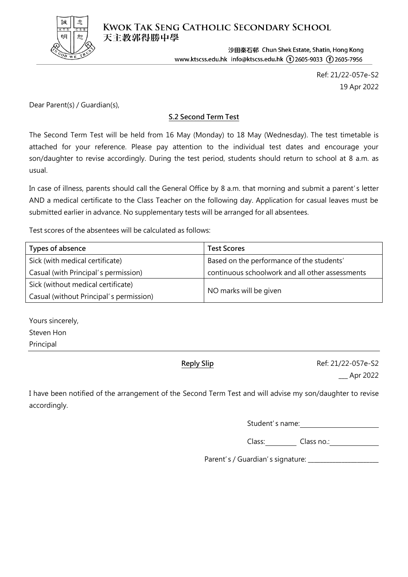

**KWOK TAK SENG CATHOLIC SECONDARY SCHOOL** 天主教郭得勝中學

> 沙田秦石邨 Chun Shek Estate, Shatin, Hong Kong www.ktscss.edu.hk info@ktscss.edu.hk (t) 2605-9033 (f) 2605-7956

> > Ref: 21/22-057e-S2 19 Apr 2022

Dear Parent(s) / Guardian(s),

## **S.2 Second Term Test**

The Second Term Test will be held from 16 May (Monday) to 18 May (Wednesday). The test timetable is attached for your reference. Please pay attention to the individual test dates and encourage your son/daughter to revise accordingly. During the test period, students should return to school at 8 a.m. as usual.

In case of illness, parents should call the General Office by 8 a.m. that morning and submit a parent's letter AND a medical certificate to the Class Teacher on the following day. Application for casual leaves must be submitted earlier in advance. No supplementary tests will be arranged for all absentees.

Test scores of the absentees will be calculated as follows:

| Types of absence                        | <b>Test Scores</b>                              |  |
|-----------------------------------------|-------------------------------------------------|--|
| Sick (with medical certificate)         | Based on the performance of the students'       |  |
| Casual (with Principal's permission)    | continuous schoolwork and all other assessments |  |
| Sick (without medical certificate)      |                                                 |  |
| Casual (without Principal's permission) | NO marks will be given                          |  |

Yours sincerely, Steven Hon Principal

**Reply Slip** Ref: 21/22-057e-S2 \_\_\_ Apr 2022

I have been notified of the arrangement of the Second Term Test and will advise my son/daughter to revise accordingly.

Student's name:

Class: Class no.: Class no.:

Parent's / Guardian's signature: \_\_\_\_\_\_\_\_\_\_\_\_\_\_\_\_\_\_\_\_\_\_\_